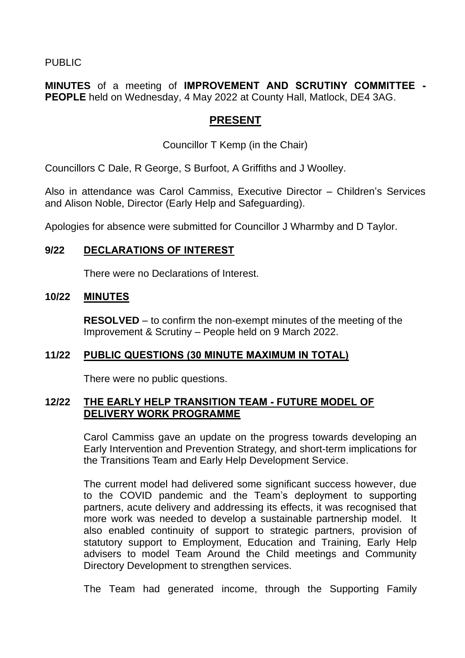PUBLIC

**MINUTES** of a meeting of **IMPROVEMENT AND SCRUTINY COMMITTEE - PEOPLE** held on Wednesday, 4 May 2022 at County Hall, Matlock, DE4 3AG.

# **PRESENT**

Councillor T Kemp (in the Chair)

Councillors C Dale, R George, S Burfoot, A Griffiths and J Woolley.

Also in attendance was Carol Cammiss, Executive Director – Children's Services and Alison Noble, Director (Early Help and Safeguarding).

Apologies for absence were submitted for Councillor J Wharmby and D Taylor.

# **9/22 DECLARATIONS OF INTEREST**

There were no Declarations of Interest.

### **10/22 MINUTES**

**RESOLVED** – to confirm the non-exempt minutes of the meeting of the Improvement & Scrutiny – People held on 9 March 2022.

### **11/22 PUBLIC QUESTIONS (30 MINUTE MAXIMUM IN TOTAL)**

There were no public questions.

### **12/22 THE EARLY HELP TRANSITION TEAM - FUTURE MODEL OF DELIVERY WORK PROGRAMME**

Carol Cammiss gave an update on the progress towards developing an Early Intervention and Prevention Strategy, and short-term implications for the Transitions Team and Early Help Development Service.

The current model had delivered some significant success however, due to the COVID pandemic and the Team's deployment to supporting partners, acute delivery and addressing its effects, it was recognised that more work was needed to develop a sustainable partnership model. It also enabled continuity of support to strategic partners, provision of statutory support to Employment, Education and Training, Early Help advisers to model Team Around the Child meetings and Community Directory Development to strengthen services.

The Team had generated income, through the Supporting Family